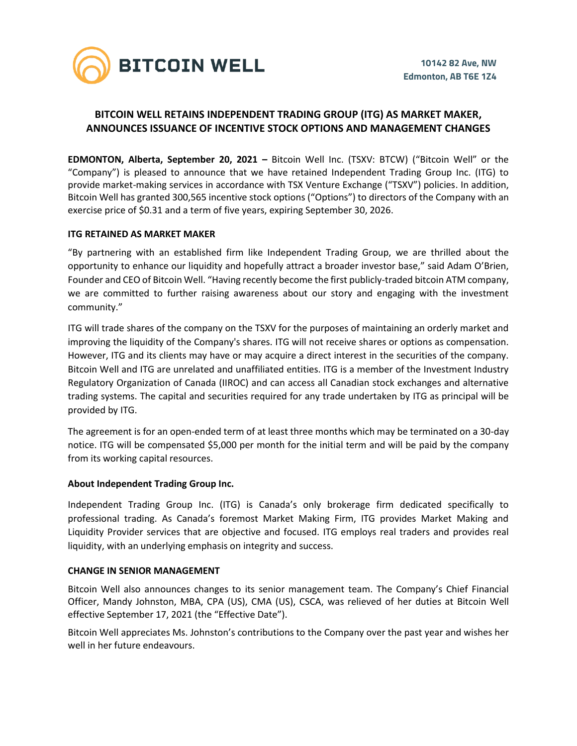

# **BITCOIN WELL RETAINS INDEPENDENT TRADING GROUP (ITG) AS MARKET MAKER, ANNOUNCES ISSUANCE OF INCENTIVE STOCK OPTIONS AND MANAGEMENT CHANGES**

**EDMONTON, Alberta, September 20, 2021 –** Bitcoin Well Inc. (TSXV: BTCW) ("Bitcoin Well" or the "Company") is pleased to announce that we have retained Independent Trading Group Inc. (ITG) to provide market-making services in accordance with TSX Venture Exchange ("TSXV") policies. In addition, Bitcoin Well has granted 300,565 incentive stock options ("Options") to directors of the Company with an exercise price of \$0.31 and a term of five years, expiring September 30, 2026.

## **ITG RETAINED AS MARKET MAKER**

"By partnering with an established firm like Independent Trading Group, we are thrilled about the opportunity to enhance our liquidity and hopefully attract a broader investor base," said Adam O'Brien, Founder and CEO of Bitcoin Well. "Having recently become the first publicly-traded bitcoin ATM company, we are committed to further raising awareness about our story and engaging with the investment community."

ITG will trade shares of the company on the TSXV for the purposes of maintaining an orderly market and improving the liquidity of the Company's shares. ITG will not receive shares or options as compensation. However, ITG and its clients may have or may acquire a direct interest in the securities of the company. Bitcoin Well and ITG are unrelated and unaffiliated entities. ITG is a member of the Investment Industry Regulatory Organization of Canada (IIROC) and can access all Canadian stock exchanges and alternative trading systems. The capital and securities required for any trade undertaken by ITG as principal will be provided by ITG.

The agreement is for an open-ended term of at least three months which may be terminated on a 30-day notice. ITG will be compensated \$5,000 per month for the initial term and will be paid by the company from its working capital resources.

## **About Independent Trading Group Inc.**

Independent Trading Group Inc. (ITG) is Canada's only brokerage firm dedicated specifically to professional trading. As Canada's foremost Market Making Firm, ITG provides Market Making and Liquidity Provider services that are objective and focused. ITG employs real traders and provides real liquidity, with an underlying emphasis on integrity and success.

#### **CHANGE IN SENIOR MANAGEMENT**

Bitcoin Well also announces changes to its senior management team. The Company's Chief Financial Officer, Mandy Johnston, MBA, CPA (US), CMA (US), CSCA, was relieved of her duties at Bitcoin Well effective September 17, 2021 (the "Effective Date").

Bitcoin Well appreciates Ms. Johnston's contributions to the Company over the past year and wishes her well in her future endeavours.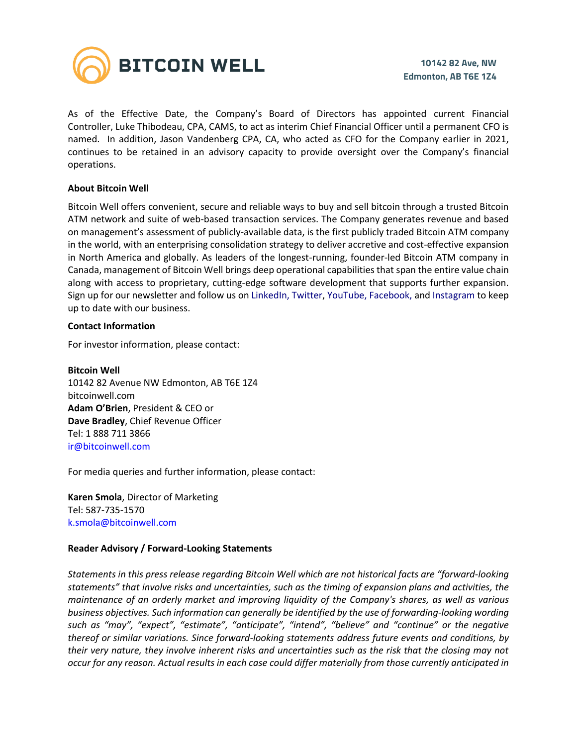

As of the Effective Date, the Company's Board of Directors has appointed current Financial Controller, Luke Thibodeau, CPA, CAMS, to act as interim Chief Financial Officer until a permanent CFO is named. In addition, Jason Vandenberg CPA, CA, who acted as CFO for the Company earlier in 2021, continues to be retained in an advisory capacity to provide oversight over the Company's financial operations.

## **About Bitcoin Well**

Bitcoin Well offers convenient, secure and reliable ways to buy and sell bitcoin through a trusted Bitcoin ATM network and suite of web-based transaction services. The Company generates revenue and based on management's assessment of publicly-available data, is the first publicly traded Bitcoin ATM company in the world, with an enterprising consolidation strategy to deliver accretive and cost-effective expansion in North America and globally. As leaders of the longest-running, founder-led Bitcoin ATM company in Canada, management of Bitcoin Well brings deep operational capabilities that span the entire value chain along with access to proprietary, cutting-edge software development that supports further expansion. Sign up for our newsletter and follow us on LinkedIn, Twitter, YouTube, Facebook, and Instagram to keep up to date with our business.

### **Contact Information**

For investor information, please contact:

**Bitcoin Well**  10142 82 Avenue NW Edmonton, AB T6E 1Z4 bitcoinwell.com **Adam O'Brien**, President & CEO or **Dave Bradley**, Chief Revenue Officer Tel: 1 888 711 3866 ir@bitcoinwell.com

For media queries and further information, please contact:

**Karen Smola**, Director of Marketing Tel: 587-735-1570 k.smola@bitcoinwell.com

#### **Reader Advisory / Forward-Looking Statements**

*Statements in this press release regarding Bitcoin Well which are not historical facts are "forward-looking statements" that involve risks and uncertainties, such as the timing of expansion plans and activities, the maintenance of an orderly market and improving liquidity of the Company's shares, as well as various business objectives. Such information can generally be identified by the use of forwarding-looking wording such as "may", "expect", "estimate", "anticipate", "intend", "believe" and "continue" or the negative thereof or similar variations. Since forward-looking statements address future events and conditions, by their very nature, they involve inherent risks and uncertainties such as the risk that the closing may not occur for any reason. Actual results in each case could differ materially from those currently anticipated in*